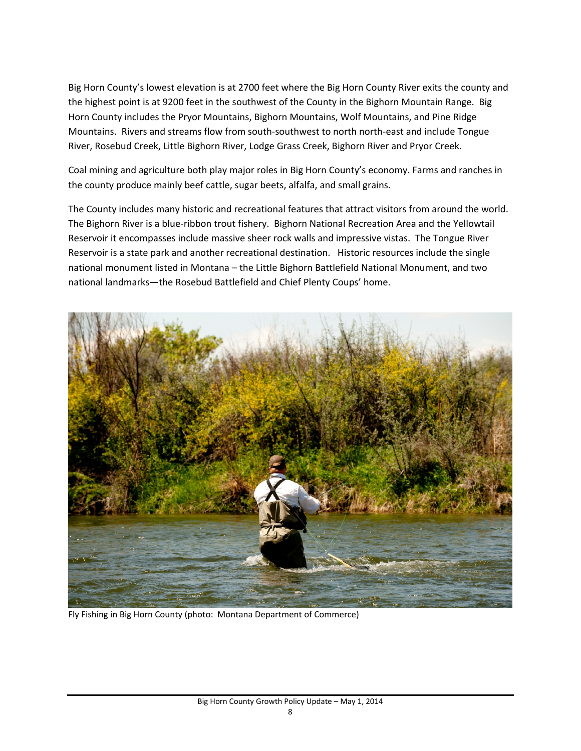Big Horn County's lowest elevation is at 2700 feet where the Big Horn County River exits the county and the highest point is at 9200 feet in the southwest of the County in the Bighorn Mountain Range. Big Horn County includes the Pryor Mountains, Bighorn Mountains, Wolf Mountains, and Pine Ridge Mountains. Rivers and streams flow from south‐southwest to north north‐east and include Tongue River, Rosebud Creek, Little Bighorn River, Lodge Grass Creek, Bighorn River and Pryor Creek.

Coal mining and agriculture both play major roles in Big Horn County's economy. Farms and ranches in the county produce mainly beef cattle, sugar beets, alfalfa, and small grains.

The County includes many historic and recreational features that attract visitors from around the world. The Bighorn River is a blue‐ribbon trout fishery. Bighorn National Recreation Area and the Yellowtail Reservoir it encompasses include massive sheer rock walls and impressive vistas. The Tongue River Reservoir is a state park and another recreational destination. Historic resources include the single national monument listed in Montana – the Little Bighorn Battlefield National Monument, and two national landmarks—the Rosebud Battlefield and Chief Plenty Coups' home.



Fly Fishing in Big Horn County (photo: Montana Department of Commerce)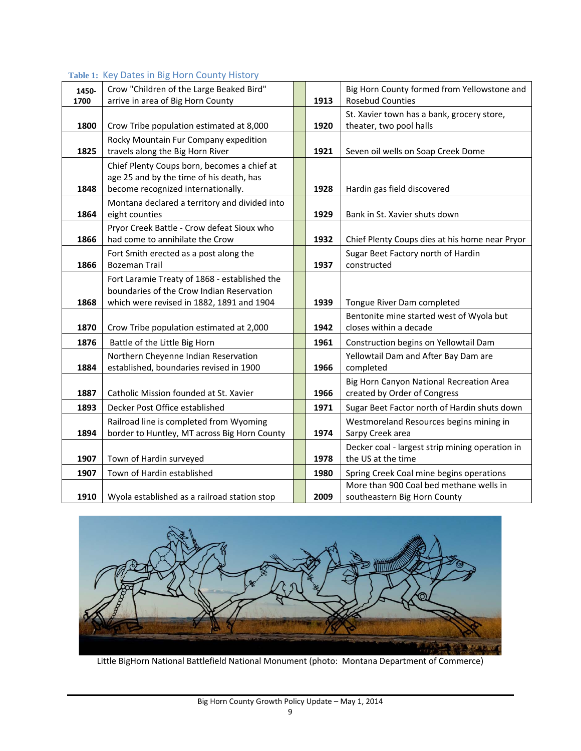## **Table 1:** Key Dates in Big Horn County History

| 1450- | Crow "Children of the Large Beaked Bird"                                                                                                | 1913 | Big Horn County formed from Yellowstone and<br><b>Rosebud Counties</b>   |
|-------|-----------------------------------------------------------------------------------------------------------------------------------------|------|--------------------------------------------------------------------------|
| 1700  | arrive in area of Big Horn County                                                                                                       |      |                                                                          |
| 1800  | Crow Tribe population estimated at 8,000                                                                                                | 1920 | St. Xavier town has a bank, grocery store,<br>theater, two pool halls    |
| 1825  | Rocky Mountain Fur Company expedition<br>travels along the Big Horn River                                                               | 1921 | Seven oil wells on Soap Creek Dome                                       |
| 1848  | Chief Plenty Coups born, becomes a chief at<br>age 25 and by the time of his death, has<br>become recognized internationally.           | 1928 | Hardin gas field discovered                                              |
| 1864  | Montana declared a territory and divided into<br>eight counties                                                                         | 1929 | Bank in St. Xavier shuts down                                            |
| 1866  | Pryor Creek Battle - Crow defeat Sioux who<br>had come to annihilate the Crow                                                           | 1932 | Chief Plenty Coups dies at his home near Pryor                           |
| 1866  | Fort Smith erected as a post along the<br><b>Bozeman Trail</b>                                                                          | 1937 | Sugar Beet Factory north of Hardin<br>constructed                        |
| 1868  | Fort Laramie Treaty of 1868 - established the<br>boundaries of the Crow Indian Reservation<br>which were revised in 1882, 1891 and 1904 | 1939 | Tongue River Dam completed                                               |
| 1870  | Crow Tribe population estimated at 2,000                                                                                                | 1942 | Bentonite mine started west of Wyola but<br>closes within a decade       |
| 1876  | Battle of the Little Big Horn                                                                                                           | 1961 | Construction begins on Yellowtail Dam                                    |
| 1884  | Northern Cheyenne Indian Reservation<br>established, boundaries revised in 1900                                                         | 1966 | Yellowtail Dam and After Bay Dam are<br>completed                        |
| 1887  | Catholic Mission founded at St. Xavier                                                                                                  | 1966 | Big Horn Canyon National Recreation Area<br>created by Order of Congress |
| 1893  | Decker Post Office established                                                                                                          | 1971 | Sugar Beet Factor north of Hardin shuts down                             |
| 1894  | Railroad line is completed from Wyoming<br>border to Huntley, MT across Big Horn County                                                 | 1974 | Westmoreland Resources begins mining in<br>Sarpy Creek area              |
| 1907  | Town of Hardin surveyed                                                                                                                 | 1978 | Decker coal - largest strip mining operation in<br>the US at the time    |
| 1907  | Town of Hardin established                                                                                                              | 1980 | Spring Creek Coal mine begins operations                                 |
| 1910  | Wyola established as a railroad station stop                                                                                            | 2009 | More than 900 Coal bed methane wells in<br>southeastern Big Horn County  |



Little BigHorn National Battlefield National Monument (photo: Montana Department of Commerce)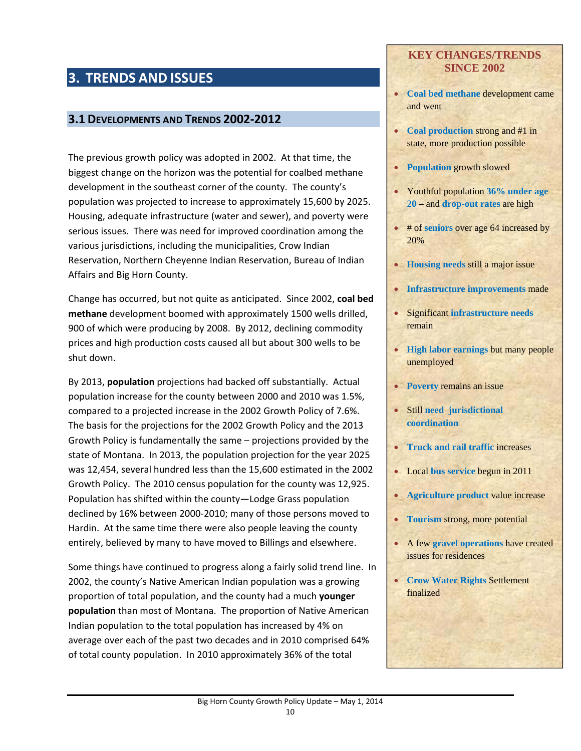# **3. TRENDS AND ISSUES**

### **3.1 DEVELOPMENTS AND TRENDS 2002‐2012**

The previous growth policy was adopted in 2002. At that time, the biggest change on the horizon was the potential for coalbed methane development in the southeast corner of the county. The county's population was projected to increase to approximately 15,600 by 2025. Housing, adequate infrastructure (water and sewer), and poverty were serious issues. There was need for improved coordination among the various jurisdictions, including the municipalities, Crow Indian Reservation, Northern Cheyenne Indian Reservation, Bureau of Indian Affairs and Big Horn County.

Change has occurred, but not quite as anticipated. Since 2002, **coal bed methane** development boomed with approximately 1500 wells drilled, 900 of which were producing by 2008. By 2012, declining commodity prices and high production costs caused all but about 300 wells to be shut down.

By 2013, **population** projections had backed off substantially. Actual population increase for the county between 2000 and 2010 was 1.5%, compared to a projected increase in the 2002 Growth Policy of 7.6%. The basis for the projections for the 2002 Growth Policy and the 2013 Growth Policy is fundamentally the same – projections provided by the state of Montana. In 2013, the population projection for the year 2025 was 12,454, several hundred less than the 15,600 estimated in the 2002 Growth Policy. The 2010 census population for the county was 12,925. Population has shifted within the county—Lodge Grass population declined by 16% between 2000‐2010; many of those persons moved to Hardin. At the same time there were also people leaving the county entirely, believed by many to have moved to Billings and elsewhere.

Some things have continued to progress along a fairly solid trend line. In 2002, the county's Native American Indian population was a growing proportion of total population, and the county had a much **younger population** than most of Montana. The proportion of Native American Indian population to the total population has increased by 4% on average over each of the past two decades and in 2010 comprised 64% of total county population. In 2010 approximately 36% of the total

#### **KEY CHANGES/TRENDS SINCE 2002**

- **Coal bed methane** development came and went
- **Coal production** strong and #1 in state, more production possible
- **Population** growth slowed
- Youthful population **36% under age 20 –** and **drop-out rates** are high
- # of **seniors** over age 64 increased by 20%
- **Housing needs** still a major issue
- **Infrastructure improvements** made
- Significant **infrastructure needs**  remain
- **High labor earnings** but many people unemployed
- **Poverty** remains an issue
- Still **need jurisdictional coordination**
- **Truck and rail traffic increases**
- Local **bus service** begun in 2011
- **Agriculture product** value increase
- **Tourism** strong, more potential
- A few **gravel operations** have created issues for residences
- **Crow Water Rights** Settlement finalized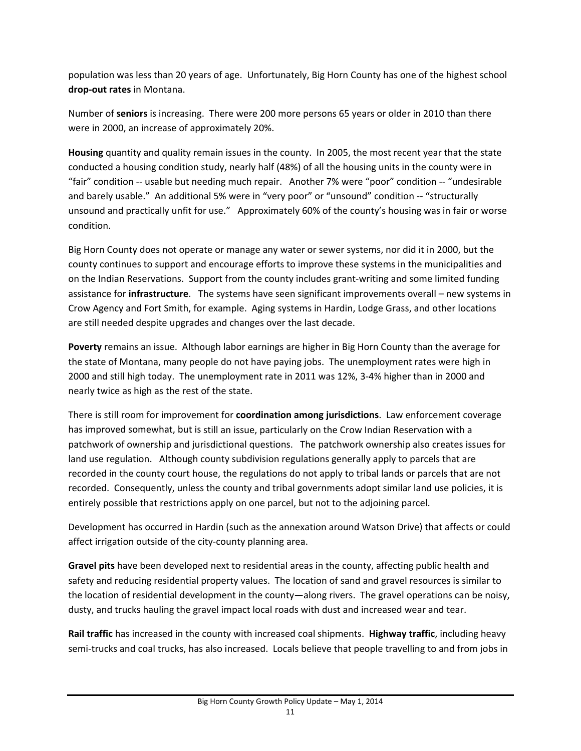population was less than 20 years of age. Unfortunately, Big Horn County has one of the highest school **drop‐out rates** in Montana.

Number of **seniors** is increasing. There were 200 more persons 65 years or older in 2010 than there were in 2000, an increase of approximately 20%.

**Housing** quantity and quality remain issues in the county. In 2005, the most recent year that the state conducted a housing condition study, nearly half (48%) of all the housing units in the county were in "fair" condition ‐‐ usable but needing much repair. Another 7% were "poor" condition ‐‐ "undesirable and barely usable." An additional 5% were in "very poor" or "unsound" condition -- "structurally unsound and practically unfit for use." Approximately 60% of the county's housing was in fair or worse condition.

Big Horn County does not operate or manage any water or sewer systems, nor did it in 2000, but the county continues to support and encourage efforts to improve these systems in the municipalities and on the Indian Reservations. Support from the county includes grant‐writing and some limited funding assistance for **infrastructure**. The systems have seen significant improvements overall – new systems in Crow Agency and Fort Smith, for example. Aging systems in Hardin, Lodge Grass, and other locations are still needed despite upgrades and changes over the last decade.

**Poverty** remains an issue. Although labor earnings are higher in Big Horn County than the average for the state of Montana, many people do not have paying jobs. The unemployment rates were high in 2000 and still high today. The unemployment rate in 2011 was 12%, 3‐4% higher than in 2000 and nearly twice as high as the rest of the state.

There is still room for improvement for **coordination among jurisdictions**. Law enforcement coverage has improved somewhat, but is still an issue, particularly on the Crow Indian Reservation with a patchwork of ownership and jurisdictional questions. The patchwork ownership also creates issues for land use regulation. Although county subdivision regulations generally apply to parcels that are recorded in the county court house, the regulations do not apply to tribal lands or parcels that are not recorded. Consequently, unless the county and tribal governments adopt similar land use policies, it is entirely possible that restrictions apply on one parcel, but not to the adjoining parcel.

Development has occurred in Hardin (such as the annexation around Watson Drive) that affects or could affect irrigation outside of the city-county planning area.

**Gravel pits** have been developed next to residential areas in the county, affecting public health and safety and reducing residential property values. The location of sand and gravel resources is similar to the location of residential development in the county—along rivers. The gravel operations can be noisy, dusty, and trucks hauling the gravel impact local roads with dust and increased wear and tear.

**Rail traffic** has increased in the county with increased coal shipments. **Highway traffic**, including heavy semi-trucks and coal trucks, has also increased. Locals believe that people travelling to and from jobs in